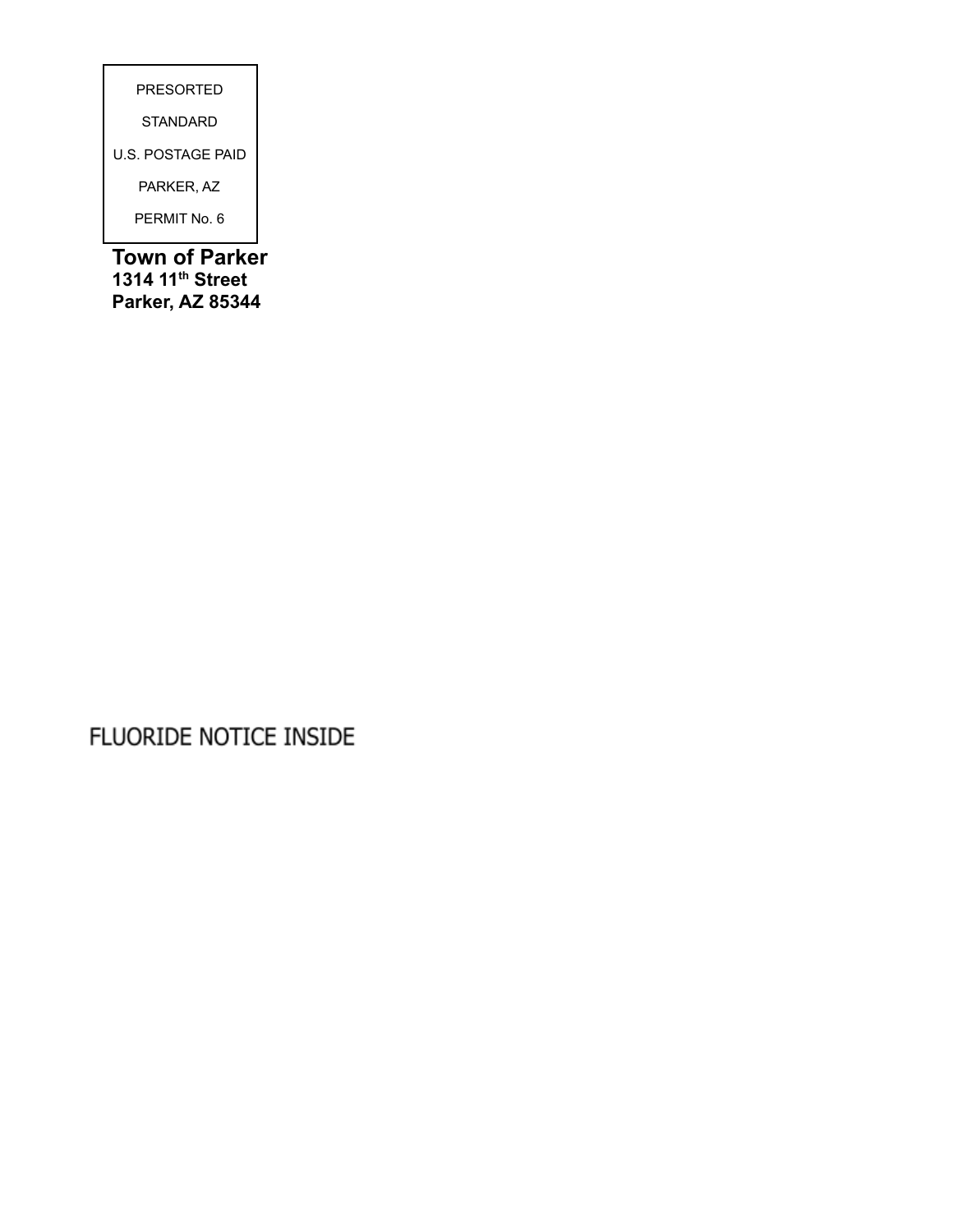PRESORTED

STANDARD

U.S. POSTAGE PAID

PARKER, AZ

PERMIT No. 6

**Town of Parker 1314 11 th Street Parker, AZ 85344**

# FLUORIDE NOTICE INSIDE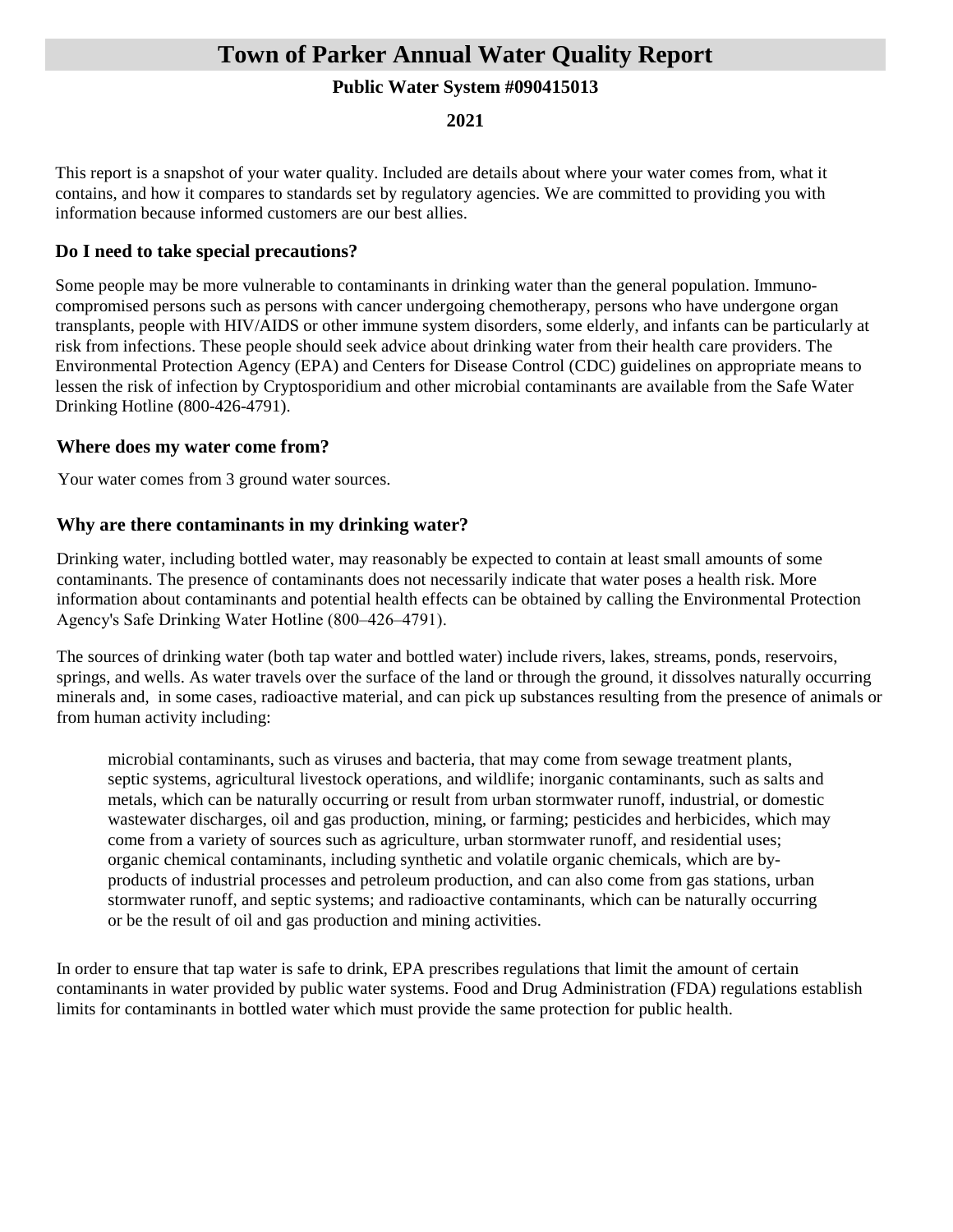# **Town of Parker Annual Water Quality Report**

# **Public Water System #090415013**

**2021**

This report is a snapshot of your water quality. Included are details about where your water comes from, what it contains, and how it compares to standards set by regulatory agencies. We are committed to providing you with information because informed customers are our best allies.

# **Do I need to take special precautions?**

Some people may be more vulnerable to contaminants in drinking water than the general population. Immunocompromised persons such as persons with cancer undergoing chemotherapy, persons who have undergone organ transplants, people with HIV/AIDS or other immune system disorders, some elderly, and infants can be particularly at risk from infections. These people should seek advice about drinking water from their health care providers. The Environmental Protection Agency (EPA) and Centers for Disease Control (CDC) guidelines on appropriate means to lessen the risk of infection by Cryptosporidium and other microbial contaminants are available from the Safe Water Drinking Hotline (800-426-4791).

#### **Where does my water come from?**

Your water comes from 3 ground water sources.

### **Why are there contaminants in my drinking water?**

Drinking water, including bottled water, may reasonably be expected to contain at least small amounts of some contaminants. The presence of contaminants does not necessarily indicate that water poses a health risk. More information about contaminants and potential health effects can be obtained by calling the Environmental Protection Agency's Safe Drinking Water Hotline (800–426–4791).

The sources of drinking water (both tap water and bottled water) include rivers, lakes, streams, ponds, reservoirs, springs, and wells. As water travels over the surface of the land or through the ground, it dissolves naturally occurring minerals and, in some cases, radioactive material, and can pick up substances resulting from the presence of animals or from human activity including:

microbial contaminants, such as viruses and bacteria, that may come from sewage treatment plants, septic systems, agricultural livestock operations, and wildlife; inorganic contaminants, such as salts and metals, which can be naturally occurring or result from urban stormwater runoff, industrial, or domestic wastewater discharges, oil and gas production, mining, or farming; pesticides and herbicides, which may come from a variety of sources such as agriculture, urban stormwater runoff, and residential uses; organic chemical contaminants, including synthetic and volatile organic chemicals, which are byproducts of industrial processes and petroleum production, and can also come from gas stations, urban stormwater runoff, and septic systems; and radioactive contaminants, which can be naturally occurring or be the result of oil and gas production and mining activities.

In order to ensure that tap water is safe to drink, EPA prescribes regulations that limit the amount of certain contaminants in water provided by public water systems. Food and Drug Administration (FDA) regulations establish limits for contaminants in bottled water which must provide the same protection for public health.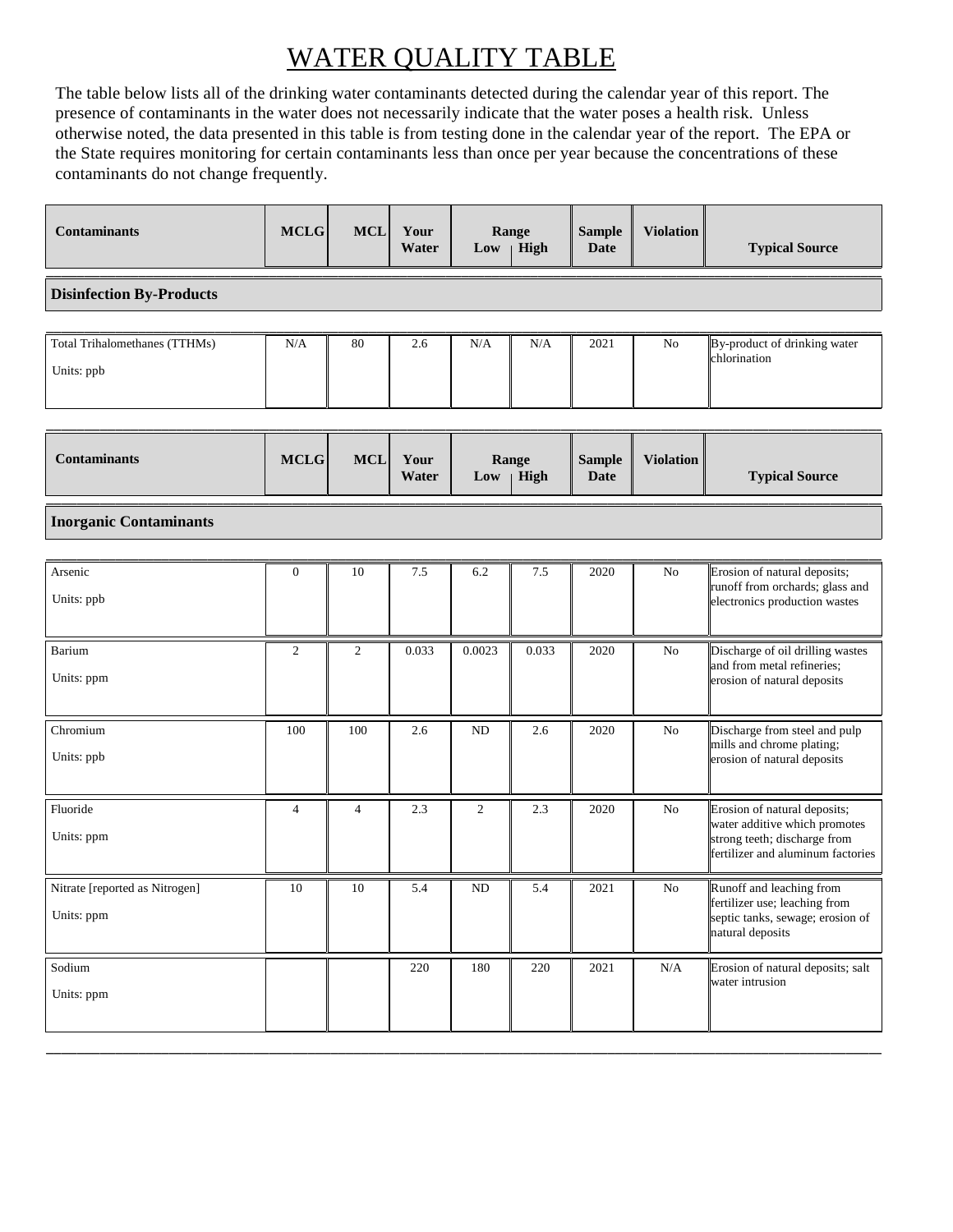# WATER QUALITY TABLE

The table below lists all of the drinking water contaminants detected during the calendar year of this report. The presence of contaminants in the water does not necessarily indicate that the water poses a health risk. Unless otherwise noted, the data presented in this table is from testing done in the calendar year of the report. The EPA or the State requires monitoring for certain contaminants less than once per year because the concentrations of these contaminants do not change frequently.

| <b>Contaminants</b>             | <b>MCLG</b>    | <b>MCL</b>     | Your<br>Water | Low            | Range<br>High | <b>Sample</b><br><b>Date</b> | <b>Violation</b> | <b>Typical Source</b>                                                                              |
|---------------------------------|----------------|----------------|---------------|----------------|---------------|------------------------------|------------------|----------------------------------------------------------------------------------------------------|
| <b>Disinfection By-Products</b> |                |                |               |                |               |                              |                  |                                                                                                    |
|                                 |                |                |               |                |               |                              |                  |                                                                                                    |
| Total Trihalomethanes (TTHMs)   | N/A            | 80             | 2.6           | N/A            | N/A           | 2021                         | N <sub>0</sub>   | By-product of drinking water<br>chlorination                                                       |
| Units: ppb                      |                |                |               |                |               |                              |                  |                                                                                                    |
|                                 |                |                |               |                |               |                              |                  |                                                                                                    |
| <b>Contaminants</b>             | <b>MCLG</b>    | <b>MCL</b>     | Your<br>Water | Low            | Range<br>High | <b>Sample</b><br><b>Date</b> | <b>Violation</b> | <b>Typical Source</b>                                                                              |
| <b>Inorganic Contaminants</b>   |                |                |               |                |               |                              |                  |                                                                                                    |
|                                 |                |                |               |                |               |                              |                  |                                                                                                    |
| Arsenic<br>Units: ppb           | $\overline{0}$ | 10             | 7.5           | 6.2            | 7.5           | 2020                         | N <sub>o</sub>   | Erosion of natural deposits;<br>runoff from orchards; glass and<br>electronics production wastes   |
| Barium                          | $\overline{2}$ | $\overline{c}$ | 0.033         | 0.0023         | 0.033         | 2020                         | N <sub>0</sub>   | Discharge of oil drilling wastes                                                                   |
| Units: ppm                      |                |                |               |                |               |                              |                  | and from metal refineries;<br>erosion of natural deposits                                          |
| Chromium                        | 100            | 100            | 2.6           | ND             | 2.6           | 2020                         | No               | Discharge from steel and pulp                                                                      |
| Units: ppb                      |                |                |               |                |               |                              |                  | mills and chrome plating;<br>erosion of natural deposits                                           |
| Fluoride                        | $\overline{4}$ | $\overline{4}$ | 2.3           | $\mathfrak{2}$ | 2.3           | 2020                         | N <sub>o</sub>   | Erosion of natural deposits;                                                                       |
| Units: ppm                      |                |                |               |                |               |                              |                  | water additive which promotes<br>strong teeth; discharge from<br>fertilizer and aluminum factories |
| Nitrate [reported as Nitrogen]  | 10             | 10             | 5.4           | ND             | 5.4           | 2021                         | No               | Runoff and leaching from                                                                           |
| Units: ppm                      |                |                |               |                |               |                              |                  | fertilizer use; leaching from<br>septic tanks, sewage; erosion of<br>natural deposits              |
| Sodium                          |                |                | 220           | 180            | 220           | 2021                         | N/A              | Erosion of natural deposits; salt                                                                  |
| Units: ppm                      |                |                |               |                |               |                              |                  | water intrusion                                                                                    |

 $\_$  , and the set of the set of the set of the set of the set of the set of the set of the set of the set of the set of the set of the set of the set of the set of the set of the set of the set of the set of the set of th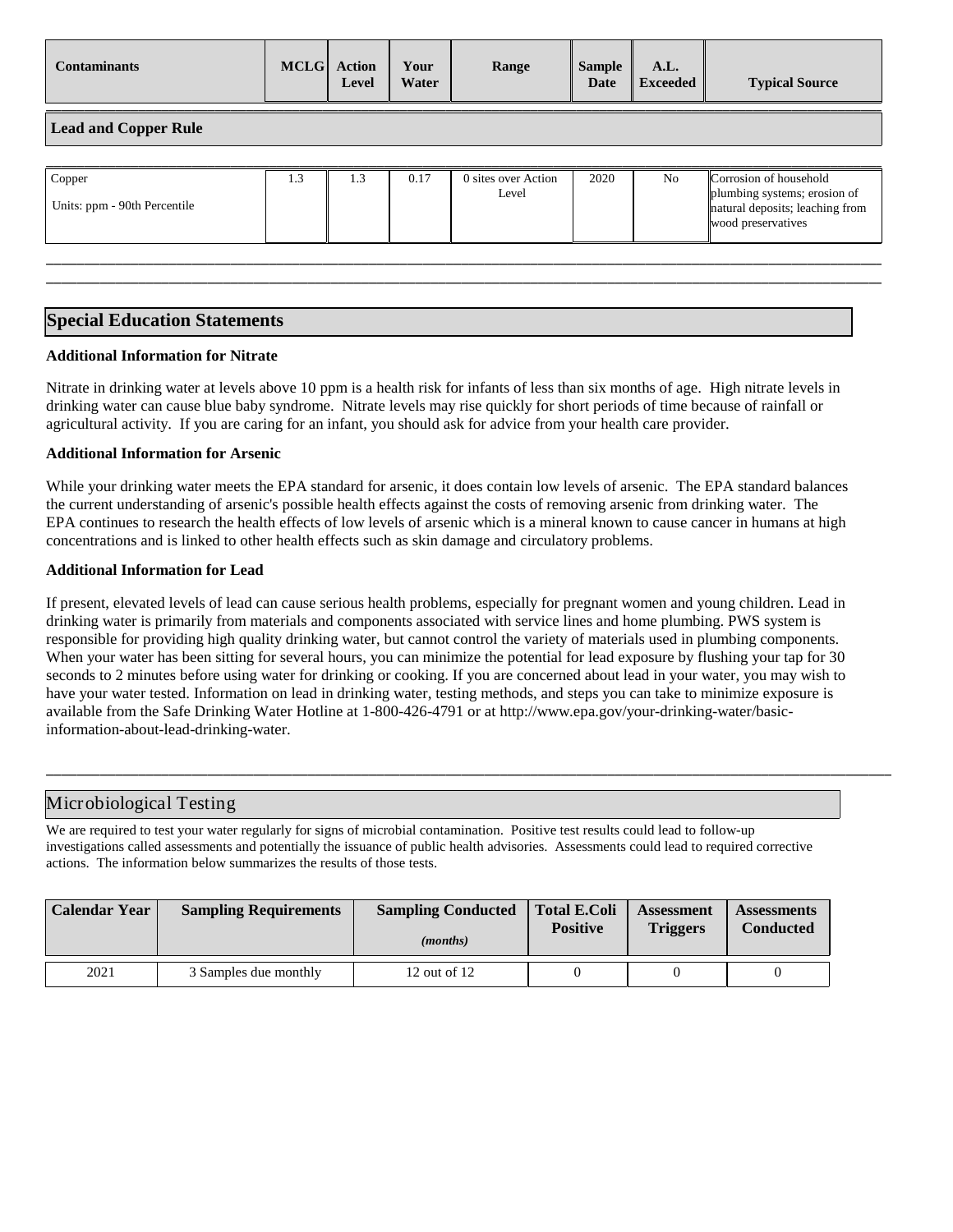| Contaminants                | <b>MCLG</b> Action<br>Level | Your<br>Water | Range | <b>Sample</b><br><b>Date</b> | A.L.<br>Exceeded | <b>Typical Source</b> |
|-----------------------------|-----------------------------|---------------|-------|------------------------------|------------------|-----------------------|
| <b>Lead and Copper Rule</b> |                             |               |       |                              |                  |                       |

| 2020<br>Corrosion of household<br>0 sites over Action<br>N <sub>0</sub><br>plumbing systems; erosion of<br>Level<br>natural deposits; leaching from<br>wood preservatives |
|---------------------------------------------------------------------------------------------------------------------------------------------------------------------------|
|                                                                                                                                                                           |

 $\_$  , and the set of the set of the set of the set of the set of the set of the set of the set of the set of the set of the set of the set of the set of the set of the set of the set of the set of the set of the set of th

#### **Special Education Statements**

#### **Additional Information for Nitrate**

Nitrate in drinking water at levels above 10 ppm is a health risk for infants of less than six months of age. High nitrate levels in drinking water can cause blue baby syndrome. Nitrate levels may rise quickly for short periods of time because of rainfall or agricultural activity. If you are caring for an infant, you should ask for advice from your health care provider.

#### **Additional Information for Arsenic**

While your drinking water meets the EPA standard for arsenic, it does contain low levels of arsenic. The EPA standard balances the current understanding of arsenic's possible health effects against the costs of removing arsenic from drinking water. The EPA continues to research the health effects of low levels of arsenic which is a mineral known to cause cancer in humans at high concentrations and is linked to other health effects such as skin damage and circulatory problems.

#### **Additional Information for Lead**

If present, elevated levels of lead can cause serious health problems, especially for pregnant women and young children. Lead in drinking water is primarily from materials and components associated with service lines and home plumbing. PWS system is responsible for providing high quality drinking water, but cannot control the variety of materials used in plumbing components. When your water has been sitting for several hours, you can minimize the potential for lead exposure by flushing your tap for 30 seconds to 2 minutes before using water for drinking or cooking. If you are concerned about lead in your water, you may wish to have your water tested. Information on lead in drinking water, testing methods, and steps you can take to minimize exposure is available from the Safe Drinking Water Hotline at 1-800-426-4791 or at http://www.epa.gov/your-drinking-water/basicinformation-about-lead-drinking-water.

 $\_$  , and the set of the set of the set of the set of the set of the set of the set of the set of the set of the set of the set of the set of the set of the set of the set of the set of the set of the set of the set of th

#### Microbiological Testing

We are required to test your water regularly for signs of microbial contamination. Positive test results could lead to follow-up investigations called assessments and potentially the issuance of public health advisories. Assessments could lead to required corrective actions. The information below summarizes the results of those tests.

| <b>Calendar Year</b> | <b>Sampling Requirements</b> | <b>Sampling Conducted</b><br>( <i>months</i> ) | <b>Total E.Coli</b><br><b>Positive</b> | <b>Assessment</b><br><b>Triggers</b> | <b>Assessments</b><br><b>Conducted</b> |
|----------------------|------------------------------|------------------------------------------------|----------------------------------------|--------------------------------------|----------------------------------------|
| 2021                 | 3 Samples due monthly        | 12 out of 12                                   |                                        |                                      |                                        |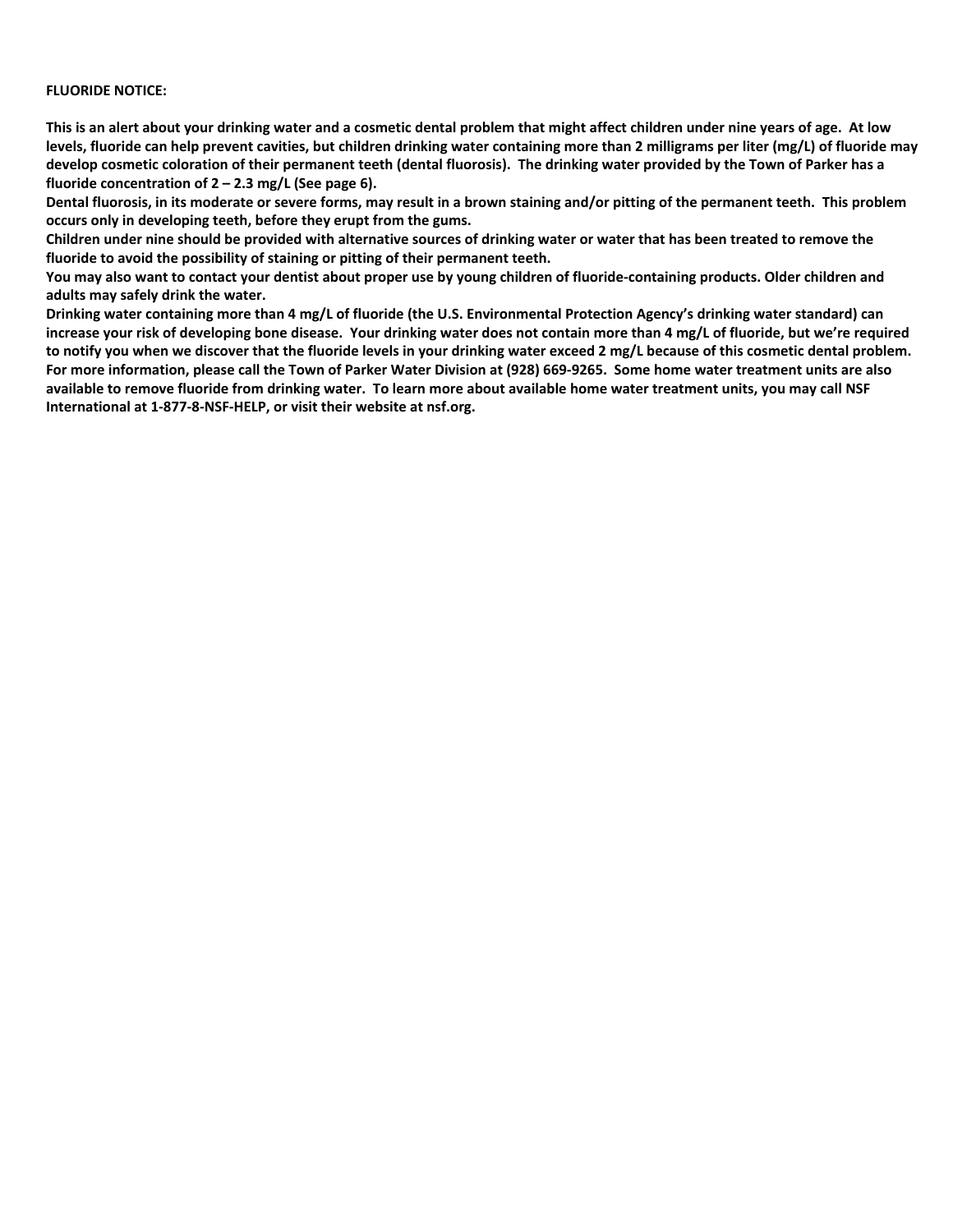#### **FLUORIDE NOTICE:**

**This is an alert about your drinking water and a cosmetic dental problem that might affect children under nine years of age. At low levels, fluoride can help prevent cavities, but children drinking water containing more than 2 milligrams per liter (mg/L) of fluoride may develop cosmetic coloration of their permanent teeth (dental fluorosis). The drinking water provided by the Town of Parker has a fluoride concentration of 2 – 2.3 mg/L (See page 6).**

**Dental fluorosis, in its moderate or severe forms, may result in a brown staining and/or pitting of the permanent teeth. This problem occurs only in developing teeth, before they erupt from the gums.**

**Children under nine should be provided with alternative sources of drinking water or water that has been treated to remove the fluoride to avoid the possibility of staining or pitting of their permanent teeth.**

**You may also want to contact your dentist about proper use by young children of fluoride-containing products. Older children and adults may safely drink the water.**

**Drinking water containing more than 4 mg/L of fluoride (the U.S. Environmental Protection Agency's drinking water standard) can increase your risk of developing bone disease. Your drinking water does not contain more than 4 mg/L of fluoride, but we're required to notify you when we discover that the fluoride levels in your drinking water exceed 2 mg/L because of this cosmetic dental problem. For more information, please call the Town of Parker Water Division at (928) 669-9265. Some home water treatment units are also available to remove fluoride from drinking water. To learn more about available home water treatment units, you may call NSF International at 1-877-8-NSF-HELP, or visit their website at nsf.org.**